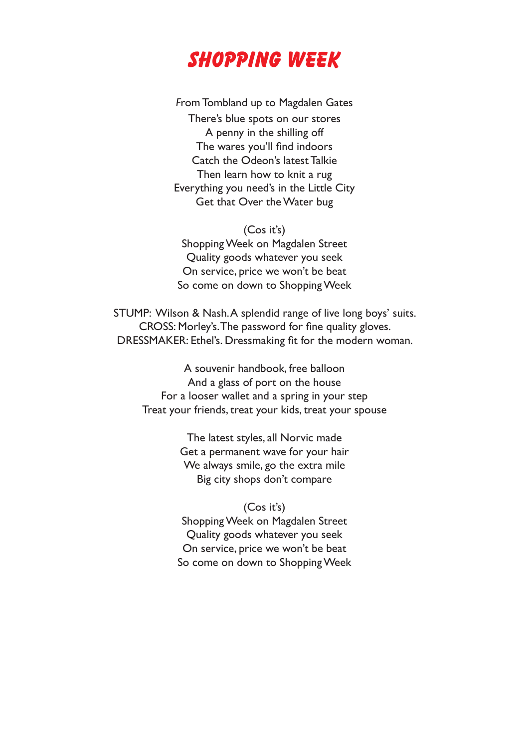

*F*rom Tombland up to Magdalen Gates There's blue spots on our stores A penny in the shilling off The wares you'll find indoors Catch the Odeon's latest Talkie Then learn how to knit a rug Everything you need's in the Little City Get that Over the Water bug

(Cos it's) Shopping Week on Magdalen Street Quality goods whatever you seek On service, price we won't be beat So come on down to Shopping Week

STUMP: Wilson & Nash. A splendid range of live long boys' suits. CROSS: Morley's. The password for fine quality gloves. DRESSMAKER: Ethel's. Dressmaking fit for the modern woman.

A souvenir handbook, free balloon And a glass of port on the house For a looser wallet and a spring in your step Treat your friends, treat your kids, treat your spouse

> The latest styles, all Norvic made Get a permanent wave for your hair We always smile, go the extra mile Big city shops don't compare

(Cos it's) Shopping Week on Magdalen Street Quality goods whatever you seek On service, price we won't be beat So come on down to Shopping Week